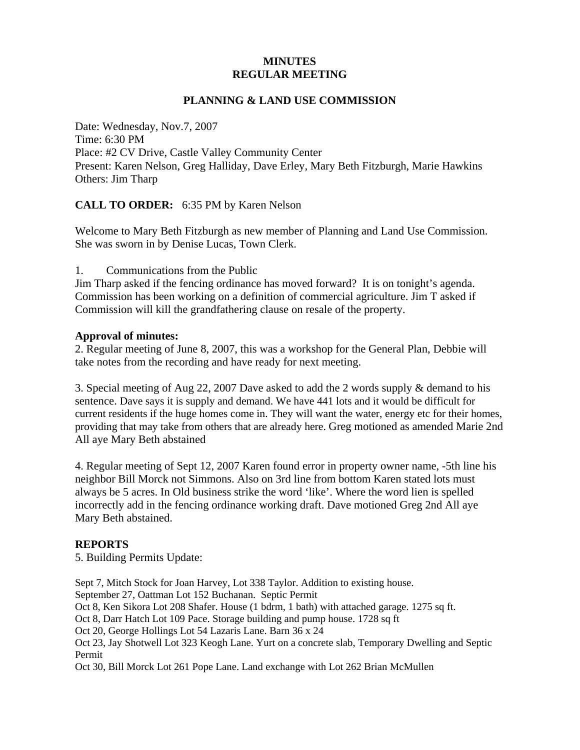## **MINUTES REGULAR MEETING**

#### **PLANNING & LAND USE COMMISSION**

Date: Wednesday, Nov.7, 2007 Time: 6:30 PM Place: #2 CV Drive, Castle Valley Community Center Present: Karen Nelson, Greg Halliday, Dave Erley, Mary Beth Fitzburgh, Marie Hawkins Others: Jim Tharp

**CALL TO ORDER:** 6:35 PM by Karen Nelson

Welcome to Mary Beth Fitzburgh as new member of Planning and Land Use Commission. She was sworn in by Denise Lucas, Town Clerk.

1. Communications from the Public

Jim Tharp asked if the fencing ordinance has moved forward? It is on tonight's agenda. Commission has been working on a definition of commercial agriculture. Jim T asked if Commission will kill the grandfathering clause on resale of the property.

#### **Approval of minutes:**

2. Regular meeting of June 8, 2007, this was a workshop for the General Plan, Debbie will take notes from the recording and have ready for next meeting.

3. Special meeting of Aug 22, 2007 Dave asked to add the 2 words supply & demand to his sentence. Dave says it is supply and demand. We have 441 lots and it would be difficult for current residents if the huge homes come in. They will want the water, energy etc for their homes, providing that may take from others that are already here. Greg motioned as amended Marie 2nd All aye Mary Beth abstained

4. Regular meeting of Sept 12, 2007 Karen found error in property owner name, -5th line his neighbor Bill Morck not Simmons. Also on 3rd line from bottom Karen stated lots must always be 5 acres. In Old business strike the word 'like'. Where the word lien is spelled incorrectly add in the fencing ordinance working draft. Dave motioned Greg 2nd All aye Mary Beth abstained.

# **REPORTS**

5. Building Permits Update:

Sept 7, Mitch Stock for Joan Harvey, Lot 338 Taylor. Addition to existing house.

September 27, Oattman Lot 152 Buchanan. Septic Permit

Oct 8, Ken Sikora Lot 208 Shafer. House (1 bdrm, 1 bath) with attached garage. 1275 sq ft.

Oct 8, Darr Hatch Lot 109 Pace. Storage building and pump house. 1728 sq ft

Oct 20, George Hollings Lot 54 Lazaris Lane. Barn 36 x 24

Oct 23, Jay Shotwell Lot 323 Keogh Lane. Yurt on a concrete slab, Temporary Dwelling and Septic Permit

Oct 30, Bill Morck Lot 261 Pope Lane. Land exchange with Lot 262 Brian McMullen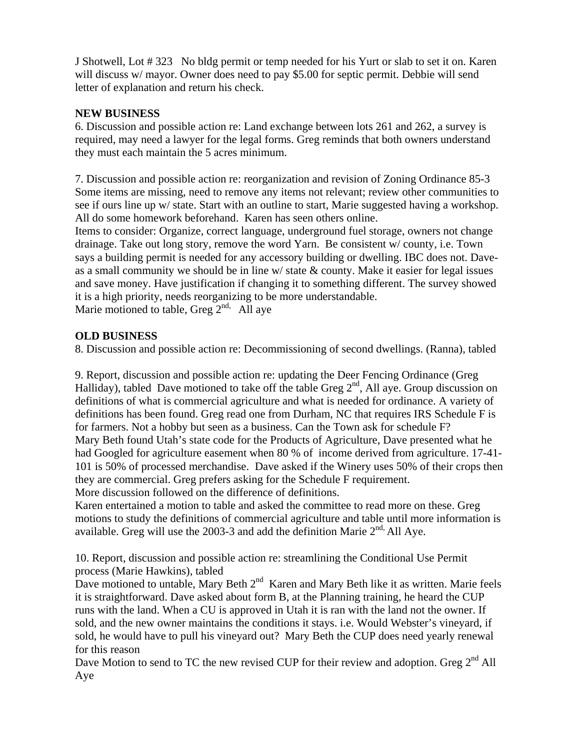J Shotwell, Lot # 323 No bldg permit or temp needed for his Yurt or slab to set it on. Karen will discuss w/ mayor. Owner does need to pay \$5.00 for septic permit. Debbie will send letter of explanation and return his check.

# **NEW BUSINESS**

6. Discussion and possible action re: Land exchange between lots 261 and 262, a survey is required, may need a lawyer for the legal forms. Greg reminds that both owners understand they must each maintain the 5 acres minimum.

7. Discussion and possible action re: reorganization and revision of Zoning Ordinance 85-3 Some items are missing, need to remove any items not relevant; review other communities to see if ours line up w/ state. Start with an outline to start, Marie suggested having a workshop. All do some homework beforehand. Karen has seen others online.

Items to consider: Organize, correct language, underground fuel storage, owners not change drainage. Take out long story, remove the word Yarn. Be consistent w/ county, i.e. Town says a building permit is needed for any accessory building or dwelling. IBC does not. Daveas a small community we should be in line  $w$  state  $\&$  county. Make it easier for legal issues and save money. Have justification if changing it to something different. The survey showed it is a high priority, needs reorganizing to be more understandable.

Marie motioned to table, Greg  $2^{nd}$ . All aye

## **OLD BUSINESS**

8. Discussion and possible action re: Decommissioning of second dwellings. (Ranna), tabled

9. Report, discussion and possible action re: updating the Deer Fencing Ordinance (Greg Halliday), tabled Dave motioned to take off the table Greg  $2<sup>nd</sup>$ , All aye. Group discussion on definitions of what is commercial agriculture and what is needed for ordinance. A variety of definitions has been found. Greg read one from Durham, NC that requires IRS Schedule F is for farmers. Not a hobby but seen as a business. Can the Town ask for schedule F? Mary Beth found Utah's state code for the Products of Agriculture, Dave presented what he had Googled for agriculture easement when 80 % of income derived from agriculture. 17-41- 101 is 50% of processed merchandise. Dave asked if the Winery uses 50% of their crops then they are commercial. Greg prefers asking for the Schedule F requirement. More discussion followed on the difference of definitions.

Karen entertained a motion to table and asked the committee to read more on these. Greg motions to study the definitions of commercial agriculture and table until more information is available. Greg will use the 2003-3 and add the definition Marie  $2<sup>nd</sup>$  All Aye.

10. Report, discussion and possible action re: streamlining the Conditional Use Permit process (Marie Hawkins), tabled

Dave motioned to untable, Mary Beth  $2<sup>nd</sup>$  Karen and Mary Beth like it as written. Marie feels it is straightforward. Dave asked about form B, at the Planning training, he heard the CUP runs with the land. When a CU is approved in Utah it is ran with the land not the owner. If sold, and the new owner maintains the conditions it stays. i.e. Would Webster's vineyard, if sold, he would have to pull his vineyard out? Mary Beth the CUP does need yearly renewal for this reason

Dave Motion to send to TC the new revised CUP for their review and adoption. Greg 2<sup>nd</sup> All Aye